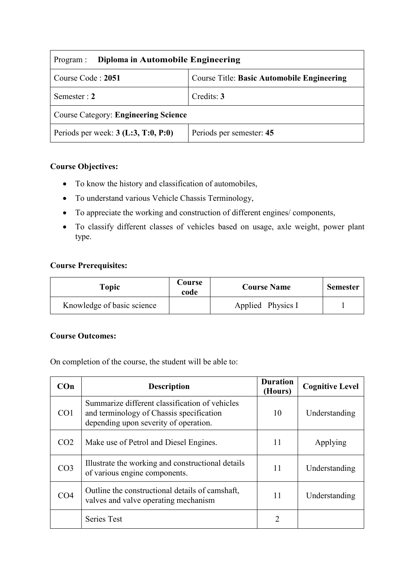| Diploma in Automobile Engineering<br>Program : |                                                   |  |
|------------------------------------------------|---------------------------------------------------|--|
| Course Code: 2051                              | <b>Course Title: Basic Automobile Engineering</b> |  |
| Semester : $2$                                 | Credits: 3                                        |  |
| <b>Course Category: Engineering Science</b>    |                                                   |  |
| Periods per week: $3$ (L:3, T:0, P:0)          | Periods per semester: 45                          |  |

# **Course Objectives:**

- To know the history and classification of automobiles,
- To understand various Vehicle Chassis Terminology,
- To appreciate the working and construction of different engines/ components,
- To classify different classes of vehicles based on usage, axle weight, power plant type.

### **Course Prerequisites:**

| Topic                      | Course<br>code | <b>Course Name</b> | <b>Semester</b> |
|----------------------------|----------------|--------------------|-----------------|
| Knowledge of basic science |                | Applied Physics I  |                 |

#### **Course Outcomes:**

On completion of the course, the student will be able to:

| COn             | <b>Description</b>                                                                                                                  | <b>Duration</b><br>(Hours) | <b>Cognitive Level</b> |
|-----------------|-------------------------------------------------------------------------------------------------------------------------------------|----------------------------|------------------------|
| CO <sub>1</sub> | Summarize different classification of vehicles<br>and terminology of Chassis specification<br>depending upon severity of operation. | 10                         | Understanding          |
| CO <sub>2</sub> | Make use of Petrol and Diesel Engines.                                                                                              | 11                         | Applying               |
| CO <sub>3</sub> | Illustrate the working and constructional details<br>of various engine components.                                                  | 11                         | Understanding          |
| CO <sub>4</sub> | Outline the constructional details of camshaft,<br>valves and valve operating mechanism                                             | 11                         | Understanding          |
|                 | <b>Series Test</b>                                                                                                                  | 2                          |                        |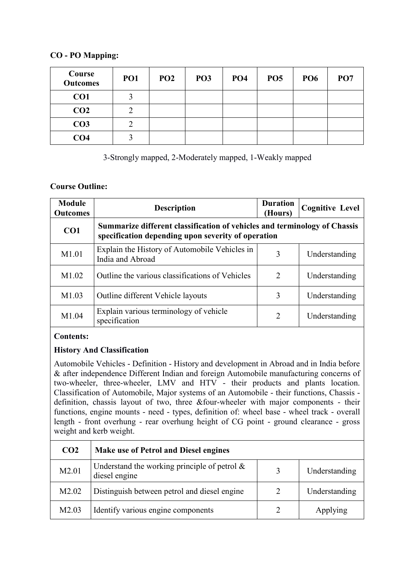### **CO - PO Mapping:**

| Course<br><b>Outcomes</b> | PO <sub>1</sub> | PO <sub>2</sub> | PO <sub>3</sub> | PO <sub>4</sub> | PO <sub>5</sub> | PO <sub>6</sub> | PO <sub>7</sub> |
|---------------------------|-----------------|-----------------|-----------------|-----------------|-----------------|-----------------|-----------------|
| CO <sub>1</sub>           | 2               |                 |                 |                 |                 |                 |                 |
| CO <sub>2</sub>           | ◠               |                 |                 |                 |                 |                 |                 |
| CO <sub>3</sub>           |                 |                 |                 |                 |                 |                 |                 |
| CO <sub>4</sub>           |                 |                 |                 |                 |                 |                 |                 |

3-Strongly mapped, 2-Moderately mapped, 1-Weakly mapped

### **Course Outline:**

| <b>Module</b><br><b>Outcomes</b> | <b>Description</b>                                                                                                              | <b>Duration</b><br>(Hours) | <b>Cognitive Level</b> |
|----------------------------------|---------------------------------------------------------------------------------------------------------------------------------|----------------------------|------------------------|
| CO <sub>1</sub>                  | Summarize different classification of vehicles and terminology of Chassis<br>specification depending upon severity of operation |                            |                        |
| M1.01                            | Explain the History of Automobile Vehicles in<br>India and Abroad                                                               | 3                          | Understanding          |
| M1.02                            | Outline the various classifications of Vehicles                                                                                 | $\overline{2}$             | Understanding          |
| M1.03                            | Outline different Vehicle layouts                                                                                               | 3                          | Understanding          |
| M <sub>1.04</sub>                | Explain various terminology of vehicle<br>specification                                                                         | $\mathfrak{D}_{1}^{(1)}$   | Understanding          |

### **Contents:**

## **History And Classification**

Automobile Vehicles - Definition - History and development in Abroad and in India before & after independence Different Indian and foreign Automobile manufacturing concerns of two-wheeler, three-wheeler, LMV and HTV - their products and plants location. Classification of Automobile, Major systems of an Automobile - their functions, Chassis definition, chassis layout of two, three &four-wheeler with major components - their functions, engine mounts - need - types, definition of: wheel base - wheel track - overall length - front overhung - rear overhung height of CG point - ground clearance - gross weight and kerb weight.

| CO <sub>2</sub>   | <b>Make use of Petrol and Diesel engines</b>                     |   |               |
|-------------------|------------------------------------------------------------------|---|---------------|
| M2.01             | Understand the working principle of petrol $\&$<br>diesel engine |   | Understanding |
| M <sub>2.02</sub> | Distinguish between petrol and diesel engine                     | 2 | Understanding |
| M <sub>2.03</sub> | Identify various engine components                               |   | Applying      |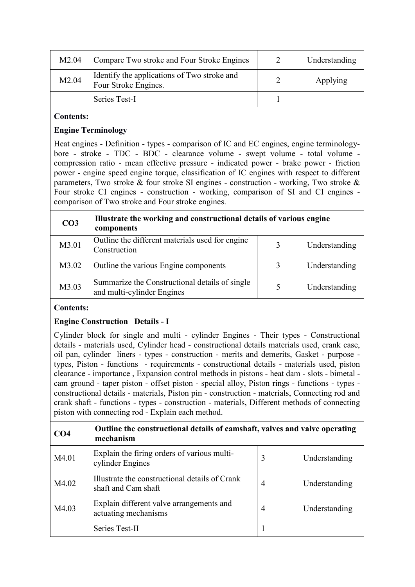| M <sub>2.04</sub> | Compare Two stroke and Four Stroke Engines                          | Understanding |
|-------------------|---------------------------------------------------------------------|---------------|
| M2.04             | Identify the applications of Two stroke and<br>Four Stroke Engines. | Applying      |
|                   | Series Test-I                                                       |               |

### **Contents:**

### **Engine Terminology**

Heat engines - Definition - types - comparison of IC and EC engines, engine terminologybore - stroke - TDC - BDC - clearance volume - swept volume - total volume compression ratio - mean effective pressure - indicated power - brake power - friction power - engine speed engine torque, classification of IC engines with respect to different parameters, Two stroke & four stroke SI engines - construction - working, Two stroke & Four stroke CI engines - construction - working, comparison of SI and CI engines comparison of Two stroke and Four stroke engines.

| CO <sub>3</sub> | Illustrate the working and constructional details of various engine<br>components |   |               |
|-----------------|-----------------------------------------------------------------------------------|---|---------------|
| M3.01           | Outline the different materials used for engine<br>Construction                   | 3 | Understanding |
| M3.02           | Outline the various Engine components                                             | 3 | Understanding |
| M3.03           | Summarize the Constructional details of single<br>and multi-cylinder Engines      | 5 | Understanding |

### **Contents:**

### **Engine Construction Details - I**

Cylinder block for single and multi - cylinder Engines - Their types - Constructional details - materials used, Cylinder head - constructional details materials used, crank case, oil pan, cylinder liners - types - construction - merits and demerits, Gasket - purpose types, Piston - functions - requirements - constructional details - materials used, piston clearance - importance , Expansion control methods in pistons - heat dam - slots - bimetal cam ground - taper piston - offset piston - special alloy, Piston rings - functions - types constructional details - materials, Piston pin - construction - materials, Connecting rod and crank shaft - functions - types - construction - materials, Different methods of connecting piston with connecting rod - Explain each method.

| CO <sub>4</sub> | Outline the constructional details of camshaft, valves and valve operating<br>mechanism |   |               |
|-----------------|-----------------------------------------------------------------------------------------|---|---------------|
| M4.01           | Explain the firing orders of various multi-<br>cylinder Engines                         | 3 | Understanding |
| M4.02           | Illustrate the constructional details of Crank<br>shaft and Cam shaft                   | 4 | Understanding |
| M4.03           | Explain different valve arrangements and<br>actuating mechanisms                        | 4 | Understanding |
|                 | Series Test-II                                                                          |   |               |